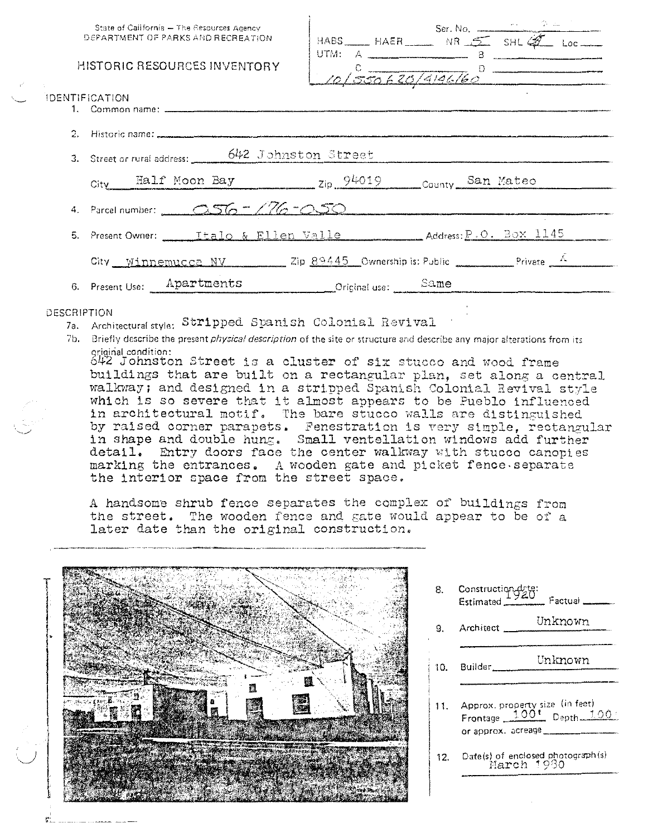|  | State of California - The Resources Agency |
|--|--------------------------------------------|
|  | DEPARTMENT OF PARKS AND RECREATION.        |

# **HISTORIC RESOURCES INVENTORY**

|        | $HABS$ $HAFR$ $NR$ $S$ $SHG$ $Q$ $loc$ |  |  |
|--------|----------------------------------------|--|--|
| JTM: A |                                        |  |  |
|        |                                        |  |  |
|        | 10/550620/4196160                      |  |  |
|        |                                        |  |  |

| 3. Street or rural address: 642 Johnston Street                                  |
|----------------------------------------------------------------------------------|
| City Half Moon Bay 2ip 94019 County San Mateo                                    |
| 4. Parcel number: 256 - 176 - 050                                                |
|                                                                                  |
| City Winnemucca NV 2ip $89445$ Ownership is: Public Private $\frac{K}{\sqrt{2}}$ |
| 6. Present Use: ___ Apartments<br>Driginal use: Same                             |

# DESCRIPTION

**IDENTIFICATION** 

- 7a. Architectural style: Stripped Spanish Colonial Revival
- 7b. Briefly describe the present *physical description* of the site or structure and describe any major alterations from its

original condition:<br>642 Johnston Street is a cluster of six stucco and wood frame buildings that are built on a rectangular plan, set along a central walkway; and designed in a stripped Spanish Colonial Revival style which is so severe that it almost appears to be Pueblo influenced in architectural motif. The bare stucco walls are distinguished by raised corner parapets. Fenestration is very simple, rectangular<br>in shape and double hung. Small ventellation windows add further<br>detail. Entry doors face the center walkway with stucco canopies marking the entrances. A wooden gate and picket fence separate the interior space from the street space.

A handsome shrub fence separates the complex of buildings from the street. The wooden fence and gate would appear to be of a later date than the original construction.



Construction dete:<br>Estimated 8. \_ Factual \_ Unknown Architect  $\mathbf{Q}$ Unknown Builder.  $10.$ 11. Approx. property size (in feet) Frontage 100<sup>t</sup> Depth 100 or approx. acreage 12. Date(s) of enclosed photograph(s) March 1980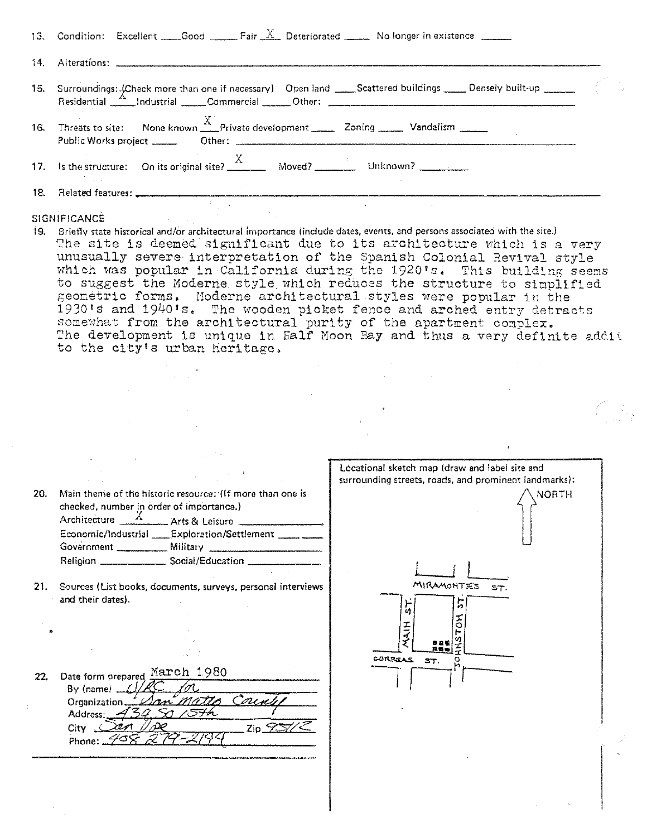| 16. Threats to site: None known Fivate development _______ Zoning ________ Vandalism _______                                                                                                                                         |  |
|--------------------------------------------------------------------------------------------------------------------------------------------------------------------------------------------------------------------------------------|--|
|                                                                                                                                                                                                                                      |  |
| 18. Related features: <b>All and Service Contract Contract Contract Contract Contract Contract Contract Contract Contract Contract Contract Contract Contract Contract Contract Contract Contract Contract Contract Contract Con</b> |  |
| SIGNIFICANCE AND ACCOUNTS AND ACCOUNTS OF THE RESIDENCE                                                                                                                                                                              |  |

**79. Briefly state historical and/Or architectural importance (include dates, events, and persons associated with the site.}**  The site is deemed significant due to its architecture which is a very unusually severe interpretation of the Spanish Colonial Revival style which was popular in California during the 1920 s. This building seems to suggest the Moderne style which reduces the structure to simplified geometric forms. Moderne architectural styles were popular in the 1930's and 1940's. The wooden picket fence and arched entry detracts somewhat from the architectural purity of the apartment complex. The development is unique in Falf Moon Bay and thus a very definite addit to the city's urban heritage,

| 20. | checked, number in order of importance.) | Main theme of the historic resource: (If more than one is |  |  |
|-----|------------------------------------------|-----------------------------------------------------------|--|--|
|     |                                          | Architecture $\frac{X}{X}$ Arts & Leisure                 |  |  |
|     |                                          | Economic/Industrial Exploration/Settlement _____          |  |  |
|     | Government __________                    | Military                                                  |  |  |
|     | Religion _                               | Social/Education                                          |  |  |
|     |                                          |                                                           |  |  |

21. **Sources {List books, documents, surveys, personal interviews**  and their dates).

22. Date form prepared  $\frac{\text{March } 1980}{}$ By (name)  $C/RC$  for  $\overline{C}$ <br>Organization San *Matto County* Address: City  $\sqrt{2e\pi}/\sqrt{2e}$   $\qquad \qquad$  Zip  $\frac{6}{2}$ Phone: <u>709</u>

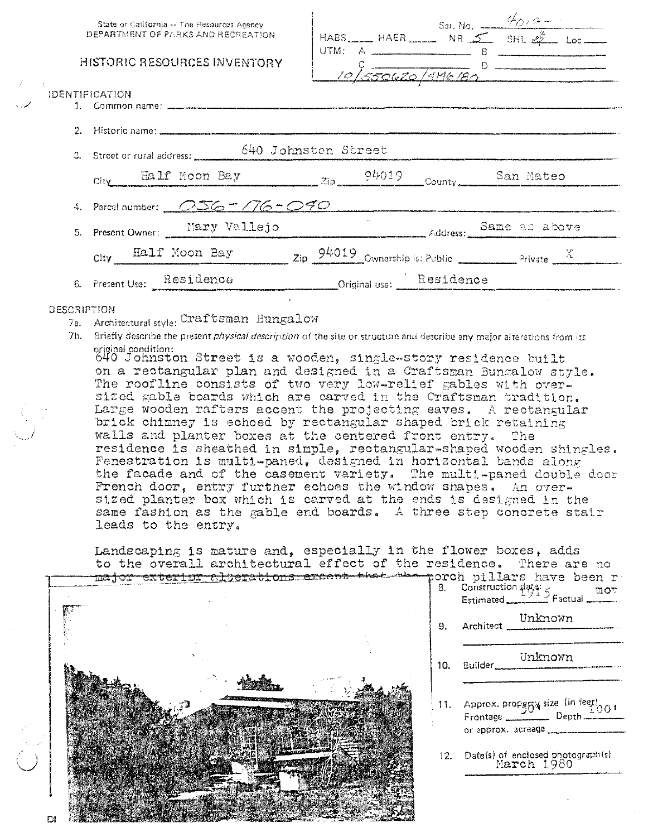| State of California -- The Resources Agency<br>DEPARTMENT OF PARKS AND RECREATION | Ser. No. $\frac{4019-1}{8}$<br>HABS HAER NR SHL $\stackrel{\#}{\leq}$ SHL $\stackrel{\#}{\leq}$ Loc                            |
|-----------------------------------------------------------------------------------|--------------------------------------------------------------------------------------------------------------------------------|
| HISTORIC RESOURCES INVENTORY                                                      | 10/550620/996180                                                                                                               |
| <b>IDENTIFICATION</b>                                                             |                                                                                                                                |
|                                                                                   |                                                                                                                                |
| 3. Street or rural address: 640 Johnston Street                                   |                                                                                                                                |
|                                                                                   | $\frac{\text{Eall}}{\text{City}}$ Ealf Moon Bay $\frac{\text{Zip}}{\text{Zip}}$ $\frac{94019}{\text{Countv}}$ County San Mateo |
| 4. Parcel number: $\sqrt{256} = 776 - 990$                                        |                                                                                                                                |
|                                                                                   | 5. Present Owner: Mary Vallejo Same as above                                                                                   |
|                                                                                   | City Half Moon Bay $\frac{\text{Gup}}{\text{Cup}}$ $\frac{94019}{\text{Ownership is: Public}}$ Private X                       |
|                                                                                   | 6. Present Use: Residence Criginal use: Residence                                                                              |
| DESCRIPTION                                                                       |                                                                                                                                |

7a. Architectural style: Craftsman Bungalow

7b. Briefly describe the present *physical description* of the site or structure and describe any major alterations from its original condition:<br>640 Johnston Street is a wooden, single-story residence built

on a rectangular plan and designed in a Craftsman Bungalow style. The roofline consists of two very low-relief gables with over.<br>sized gable boards which are carved in the Craftsman tradition. Large wooden rafters accent the projecting eaves. A rectangular brick chimney is echoed by rectangular shaped brick retaining walls and planter boxes at the centered front entry. The residence is sheathed in simple, rectangular-shaped wooden shingles. Fenestration is multi-paned, designed in horizontal bands along the facade and of the casement variety. The multi-paned double door French door, entry further echoes the window shapes. An oversized planter box which is carved at the ends is designed in the same fashion as the gable end boards. A three step concrete stair leads to the entry.

Landscaping is mature and, especially in the flower boxes, adds to the overall architectural effect of the residence. There are no

mov

1,00 i

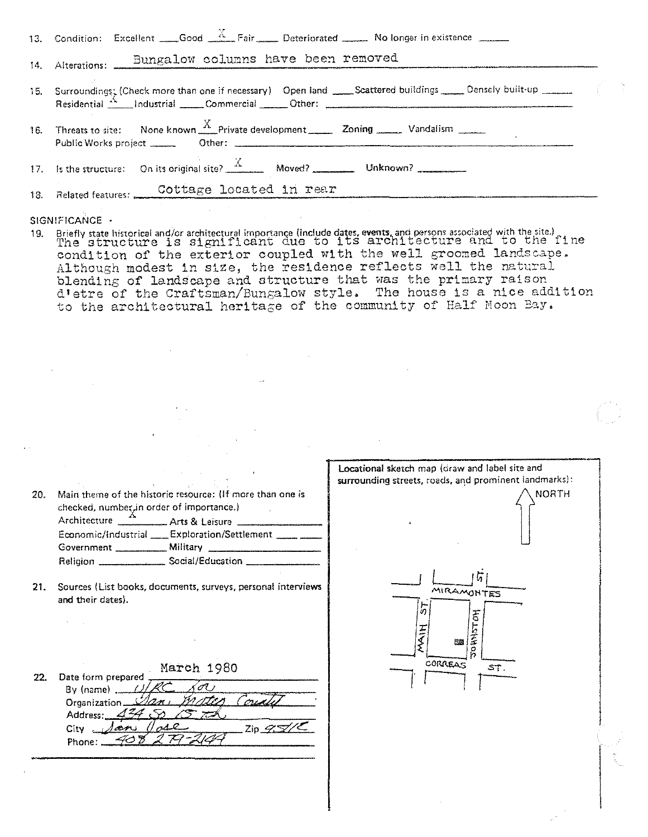| 13. Condition: Excellent $\_\_\_$ Good $\_\_$ Fair $\_\_\_$ Deteriorated $\_\_\_$ No longer in existence $\_\_\_\_$ |  |
|---------------------------------------------------------------------------------------------------------------------|--|
| 14. Alterations: Bungalow columns have been removed                                                                 |  |
|                                                                                                                     |  |
| 16. Threats to site: None known $\frac{X}{X}$ Private development Zoning ______ Vandalism ______                    |  |
|                                                                                                                     |  |
| 18. Related features: Cottage located in rear                                                                       |  |

SIGNIFICANCE -

19. Briefly state historical and/or architectural importance (include dates, events, and persons associated with the site.)<br>The structure is significant due to its architecture and to the fine condition of the exterior coupled with the well groomed landscape. Although modest in size, the residence reflects well the natural blending of landscape and structure that was the primary raison d'etre of the Craftsman/Bungalow style. The house is a nice addition to the architectural heritage of the community of Half Moon Bay.

| 20. | Main theme of the historic resource: (If more than one is<br>checked, number, in order of importance.)<br>Architecture __________ Arts & Leisure ___________<br>Economic/Industrial Exploration/Settlement ______<br>Religion _______________________ Social/Education _______________ | Locational sketch map (draw and label site and<br>surrounding streets, roads, and prominent landmarks):<br><b>NORTH</b> |
|-----|----------------------------------------------------------------------------------------------------------------------------------------------------------------------------------------------------------------------------------------------------------------------------------------|-------------------------------------------------------------------------------------------------------------------------|
| 21. | Sources (List books, documents, surveys, personal interviews<br>and their dates).                                                                                                                                                                                                      | MIRAMONTES<br>ō<br>至<br>理                                                                                               |
| 22. | March 1980<br>Date form prepared<br>$By (name)$ .<br>Organization<br>Address:<br>$\mathsf{Zip}\ \mathscr{D} \mathscr{D}$<br>City<br>es<br>Phone:                                                                                                                                       | <b>CORREAS</b><br>ST.                                                                                                   |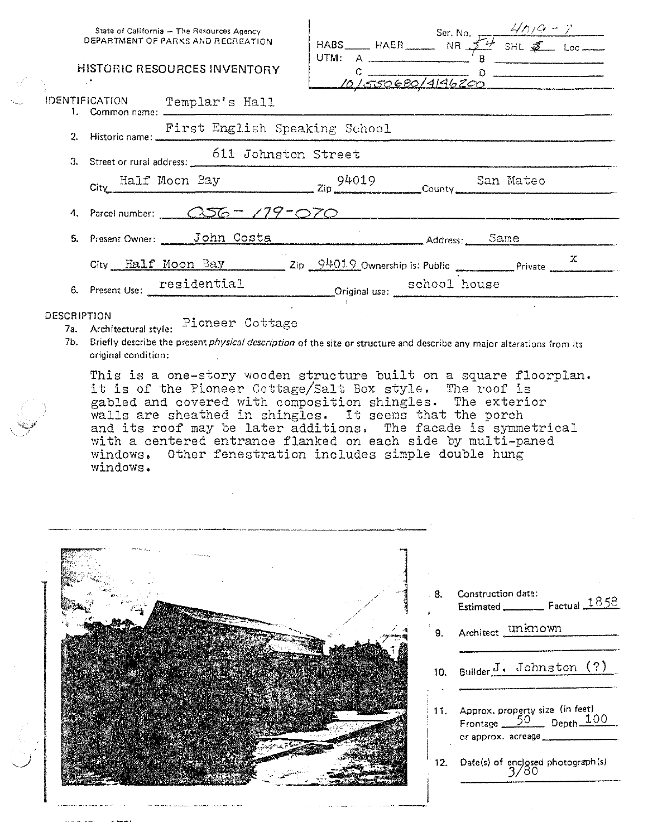|             | State of California - The Resources Agency<br>DEPARTMENT OF PARKS AND RECREATION<br><b>HISTORIC RESOURCES INVENTORY</b> | HABS HAER Ser. No. $\frac{4/7}{9}$ - 7<br>UTM:<br>10/550680/4146200 |  |  |
|-------------|-------------------------------------------------------------------------------------------------------------------------|---------------------------------------------------------------------|--|--|
|             | IDENTIFICATION Templar's Hall<br>1. Common name: ___________                                                            |                                                                     |  |  |
|             | First English Speaking School                                                                                           |                                                                     |  |  |
|             | 3. Street or rural address: 611 Johnston Street                                                                         |                                                                     |  |  |
|             | City Half Moon Bay 2ip 94019 San Mateo                                                                                  |                                                                     |  |  |
|             | 4. Parcel number: $\sqrt{.256}$ = $/79$ = $\sqrt{.70}$                                                                  |                                                                     |  |  |
|             | 5. Present Owner: John Costa                                                                                            | Address: Same                                                       |  |  |
|             | City Half Moon Bay 2ip 94019 Ownership is: Public Private Private                                                       |                                                                     |  |  |
|             | 6. Present Use: residential Criginal use: school house                                                                  |                                                                     |  |  |
| DESCRIPTION | $\pi$ , and $\pi$ is a set of $\pi$ , and $\pi$                                                                         |                                                                     |  |  |

7a. Architectural style: Pioneer Cottage

7b. Briefly describe the present *physical description* of the site or structure and describe any major alterations from its original condition:

This is a one-story wooden structure built on a square floorplan. it is of the Pioneer Cottage/Salt Box style. The roof is gabled and covered with composition shingles. The exterior walls are sheathed in shingles. It seems that the porch and its roof may be later additions. The facade is symmetrical with a centered entrance flanked on each side by multi-paned windows. Other fenestration includes simple double hung windows.



**Construction date:** 8. Estimated \_\_\_\_\_\_\_\_\_\_\_ Factual 1858 Architect unknown  $9<sub>1</sub>$ Builder J. Johnston (?) 10. 11. Approx. property size (in feet) Frontage 50 Depth 100 or approx. acreage\_ 12. Date(s) of enclosed photograph(s)<br>3/80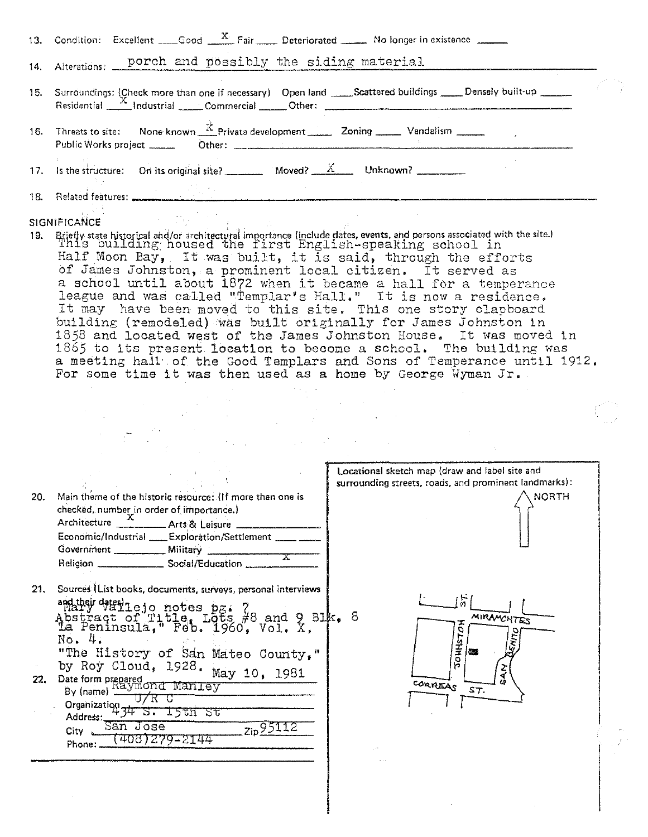|     | 13. Condition: Excellent Good $\frac{X}{X}$ Fair Deteriorated No longer in existence                                                                                                                                                                                                                                                                                                                                                                                                                                                                                                                                                                                                                                                                                                                                                                                                                                              |  |
|-----|-----------------------------------------------------------------------------------------------------------------------------------------------------------------------------------------------------------------------------------------------------------------------------------------------------------------------------------------------------------------------------------------------------------------------------------------------------------------------------------------------------------------------------------------------------------------------------------------------------------------------------------------------------------------------------------------------------------------------------------------------------------------------------------------------------------------------------------------------------------------------------------------------------------------------------------|--|
|     | 14. Alterations: porch and possibly the siding material                                                                                                                                                                                                                                                                                                                                                                                                                                                                                                                                                                                                                                                                                                                                                                                                                                                                           |  |
|     | 15. Surroundings: (Check more than one if necessary) Open land _____Scattered buildings _____ Densely built-up ______<br>Residential X Industrial Commercial Other: 2001 Commercial Communication Communication Communication Communication Communication Communication Communication Communication Communication Communication Communication Communica                                                                                                                                                                                                                                                                                                                                                                                                                                                                                                                                                                           |  |
|     | 16. Threats to site: None known $\frac{x}{x}$ Private development 200 ming 200 Vandalism 200 minutes                                                                                                                                                                                                                                                                                                                                                                                                                                                                                                                                                                                                                                                                                                                                                                                                                              |  |
|     | 17. Is the structure: On its original site? _________ Moved? $X$ Unknown? _______                                                                                                                                                                                                                                                                                                                                                                                                                                                                                                                                                                                                                                                                                                                                                                                                                                                 |  |
|     |                                                                                                                                                                                                                                                                                                                                                                                                                                                                                                                                                                                                                                                                                                                                                                                                                                                                                                                                   |  |
|     | <b>Contract Contract</b><br><b>SIGNIFICANCE</b><br>Briefly state historical and/or architectural importance (include dates, events, and persons associated with the site.) This building housed the first English-speaking school in<br>Half Moon Bay, It was built, it is said, through the efforts<br>of James Johnston, a prominent local citizen. It served as<br>a school until about 1872 when it became a hall for a temperance<br>league and was called "Templar's Hall." It is now a residence.<br>It may have been moved to this site. This one story clapboard<br>building (remodeled) was built originally for James Johnston in<br>1858 and located west of the James Johnston House. It was moved in<br>1865 to its present location to become a school. The building was<br>a meeting hall of the Good Templars and Sons of Temperance until 1912.<br>For some time it was then used as a home by George Wyman Jr. |  |
|     | $\label{eq:2.1} \mathcal{L}^{\text{max}}_{\text{max}}(\mathbf{r},\mathbf{r}) = \mathcal{L}^{\text{max}}_{\text{max}}(\mathbf{r},\mathbf{r}) = \mathcal{L}^{\text{max}}_{\text{max}}(\mathbf{r},\mathbf{r}) = \mathcal{L}^{\text{max}}_{\text{max}}(\mathbf{r},\mathbf{r})$                                                                                                                                                                                                                                                                                                                                                                                                                                                                                                                                                                                                                                                        |  |
|     | Locational sketch map (draw and label site and<br>surrounding streets, roads, and prominent landmarks):                                                                                                                                                                                                                                                                                                                                                                                                                                                                                                                                                                                                                                                                                                                                                                                                                           |  |
| 20. | Main theme of the historic resource: (If more than one is<br>$\land$ NORTH<br>checked, number in order of importance.)<br>Architecture <u>2 Arts</u> & Leisure<br>Economic/Industrial ____ Exploration/Settlement _____ __<br>Government __________ Military<br>$\overline{\mathbf{x}}$<br>Religion _______________________ Social/Education ______                                                                                                                                                                                                                                                                                                                                                                                                                                                                                                                                                                               |  |
| 21. | Sources (List books, documents, surveys, personal interviews<br>广<br>addue due)<br>Abstract of Title, Lots #8 and 9 Blk. 8<br>La Peninsula, Feb. 1960, Vol. X,<br><b>MIRAMONTES</b><br><b>HOLSHHOL</b><br>Хmо<br>No. 4.<br>"The History of San Mateo County,"<br>图案                                                                                                                                                                                                                                                                                                                                                                                                                                                                                                                                                                                                                                                               |  |
| 22. | by Roy Cloud, 1928. May 10, 1981<br>Date form prepared<br>By (name) $\frac{\text{may}}{\text{my}}$<br>CORREAS<br>ST.<br>U/R C<br>Organization 34 S. 15th St<br>Address:<br>San Jose<br>zip 95112<br>$City \sim$<br>1408)279–2144<br>Phone:                                                                                                                                                                                                                                                                                                                                                                                                                                                                                                                                                                                                                                                                                        |  |
|     |                                                                                                                                                                                                                                                                                                                                                                                                                                                                                                                                                                                                                                                                                                                                                                                                                                                                                                                                   |  |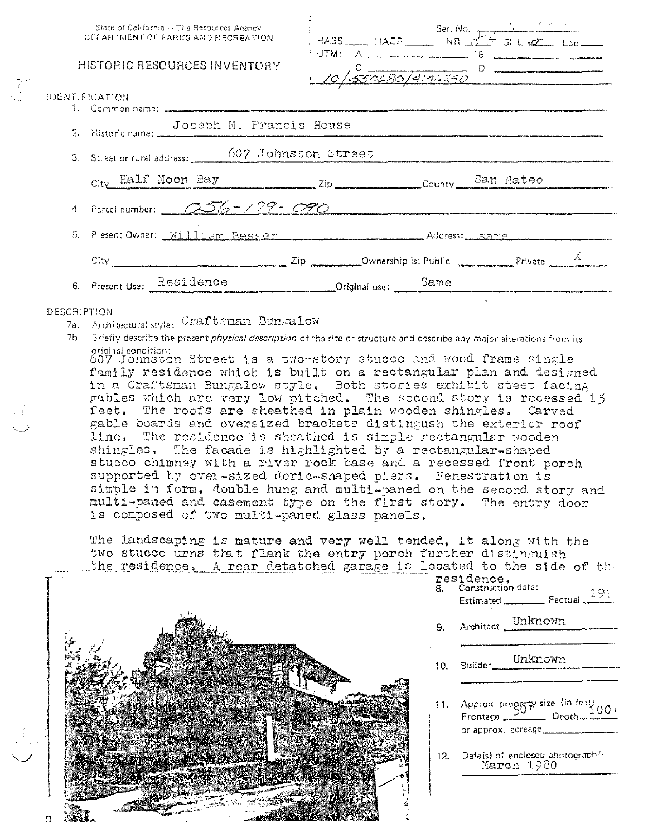| State of California - The Resources Agency<br>DEPARTMENT OF PARKS AND RECREATION. |                                                                                                                                                                                                         | HABS HAER Ser. No. $F^{\perp}$ SHL WE Loc |                                   |  |
|-----------------------------------------------------------------------------------|---------------------------------------------------------------------------------------------------------------------------------------------------------------------------------------------------------|-------------------------------------------|-----------------------------------|--|
|                                                                                   | HISTORIC RESOURCES INVENTORY                                                                                                                                                                            |                                           | $\frac{c}{\sqrt{550630/4146240}}$ |  |
| <b>IDENTIFICATION</b>                                                             |                                                                                                                                                                                                         |                                           |                                   |  |
|                                                                                   | Joseph M. Francis House<br>2. Historic name: JOSEDN M. Prances                                                                                                                                          |                                           |                                   |  |
|                                                                                   | 3. Street or rural address: 607 Johnston Street                                                                                                                                                         |                                           |                                   |  |
|                                                                                   | City Half Moon Bay Zip Zip County San Mateo                                                                                                                                                             |                                           |                                   |  |
|                                                                                   | 4. Parcel number: $\frac{0.56 - 179 - 090}{0.56 - 1.56}$                                                                                                                                                |                                           |                                   |  |
| $\mathcal{L}_{\text{max}}$                                                        | Present Owner: William Besser Manuel Address: Same Manuel Manuel Manuel Manuel Manuel Manuel Manuel Manuel Manuel                                                                                       |                                           |                                   |  |
|                                                                                   | City $\frac{Zip}{\sqrt{2p}}$ Dwnership is: Public Private Private $\frac{X}{\sqrt{2p}}$                                                                                                                 |                                           |                                   |  |
|                                                                                   | 6. Present Use: Residence Criginal use: Same Same                                                                                                                                                       |                                           |                                   |  |
| DESCRIPTION                                                                       | 7a. Architectural style: Craftsman Bungalow<br>7b. Sriefly describe the present <i>physical description</i> of the site or structure and describe any major alterations from its<br>orininal condition: |                                           |                                   |  |

607 Johnston Street is a two-story stucco and wood frame single family residence which is built on a rectangular plan and designed in a Craftsman Bungalow style. Both stories exhibit steet facing gables which are very low pitched. The second story is recessed 15 feet. The roofs are sheathed in plain wooden shingles. Carved gable boards and oversized brackets distingush the exterior roof line. The residence is sheathed is simple rectangular wooden shingles. The facade is highlighted by a rectangular-shaped stucco chimney with a river rock base and a recessed front porch supported by over-sized doric-shaped piers. Fenestration is simple in form, double hung and multi-paned on the second story and multi-paned and casement type on the first story. The entry door is composed of two multi-paned glass panels.

The landscaping is mature and very well tended, it along with the two stucco urns that flank the entry porch further distinguish the residence. A rear detatched garage is I



| LOCATEC to the side of the                                                      |
|---------------------------------------------------------------------------------|
| residence.<br>8. Construction date:                                             |
| Estimated <b>Factual</b> 191                                                    |
| 9. Architect Unknown                                                            |
|                                                                                 |
| 11. Approx. property size (in feet) 001<br>or approx. acreage _________________ |
| 12. Date(s) of enclosed photograph(c<br>March 1980                              |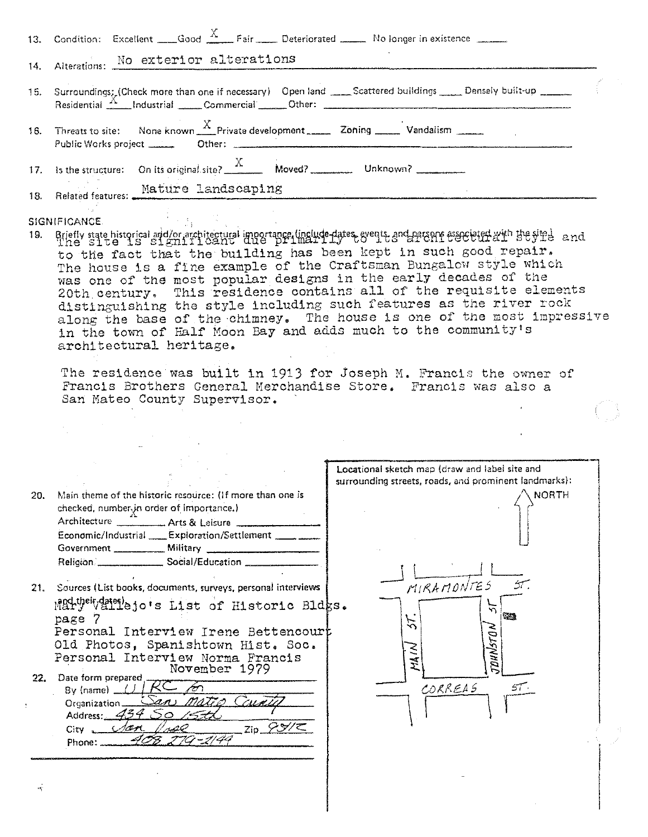|     | 13. Condition: Excellent ___Good $\frac{X}{X}$ Fair Deteriorated No longer in existence ____                                                                                                                                                                                                                                                                                                                                                                                                                                                                                                                                                                                                                                                                                                                                                      |  |
|-----|---------------------------------------------------------------------------------------------------------------------------------------------------------------------------------------------------------------------------------------------------------------------------------------------------------------------------------------------------------------------------------------------------------------------------------------------------------------------------------------------------------------------------------------------------------------------------------------------------------------------------------------------------------------------------------------------------------------------------------------------------------------------------------------------------------------------------------------------------|--|
|     | 14. Alterations: No exterior alterations                                                                                                                                                                                                                                                                                                                                                                                                                                                                                                                                                                                                                                                                                                                                                                                                          |  |
|     | 15. Surroundings: Check more than one if necessary) Open land ____Scattered buildings _____Densely built-up ______                                                                                                                                                                                                                                                                                                                                                                                                                                                                                                                                                                                                                                                                                                                                |  |
|     |                                                                                                                                                                                                                                                                                                                                                                                                                                                                                                                                                                                                                                                                                                                                                                                                                                                   |  |
|     | 17. Is the structure: On its original site? $\frac{X}{X}$ Moved? Unknown?                                                                                                                                                                                                                                                                                                                                                                                                                                                                                                                                                                                                                                                                                                                                                                         |  |
|     | 18. Related features: Mature landscaping                                                                                                                                                                                                                                                                                                                                                                                                                                                                                                                                                                                                                                                                                                                                                                                                          |  |
| 19. | SIGNIFICANCE.<br>Briefly state historical and/or architectural importance. linclude dates, events, and preshed associated at the sight and<br>to the fact that the building has been kept in such good repair.<br>The house is a fine example of the Craftsman Bungalow style which<br>was one of the most popular designs in the early decades of the<br>20th century. This residence contains all of the requisite elements<br>distinguishing the style including such features as the river rock<br>along the base of the chimney. The house is one of the most impressive<br>in the town of Half Moon Bay and adds much to the community's<br>architectural heritage.<br>The residence was built in 1913 for Joseph M. Francis the owner of<br>Francis Brothers General Merchandise Store. Francis was also a<br>San Mateo County Supervisor. |  |
|     |                                                                                                                                                                                                                                                                                                                                                                                                                                                                                                                                                                                                                                                                                                                                                                                                                                                   |  |
|     | Locational sketch map (draw and label site and                                                                                                                                                                                                                                                                                                                                                                                                                                                                                                                                                                                                                                                                                                                                                                                                    |  |
|     | surrounding streets, roads, and prominent landmarks):<br>$\land$ NORTH<br>Main theme of the historic resource: IIf more than one is<br>checked, number in order of importance.)<br>Architecture __________ Arts & Leisure ____________<br>Economic/Industrial __ Exploration/Settlement ____ ___                                                                                                                                                                                                                                                                                                                                                                                                                                                                                                                                                  |  |
|     | MIRAMONTES<br>21. Sources (List books, documents, surveys, personal interviews<br>Mary "Waterlejo's List of Historic Bldks.<br>繁雜<br>page 7<br>$\tilde{\zeta}$<br><b>DHNSTON</b><br>Personal Interview Irene Bettencourt<br>Old Photos, Spanishtown Hist. Soc.<br>Personal Interview Norma Francis<br>芟                                                                                                                                                                                                                                                                                                                                                                                                                                                                                                                                           |  |
| 22. | November 1979<br>Date form prepared<br>AC<br>CORREAS<br>57.<br>By (name)<br>Cain<br>Organization.<br>Address: $43450$<br>$Zip \cancel{S} \cancel{S} / \cancel{C}$<br>dan<br>City<br>Phone:                                                                                                                                                                                                                                                                                                                                                                                                                                                                                                                                                                                                                                                        |  |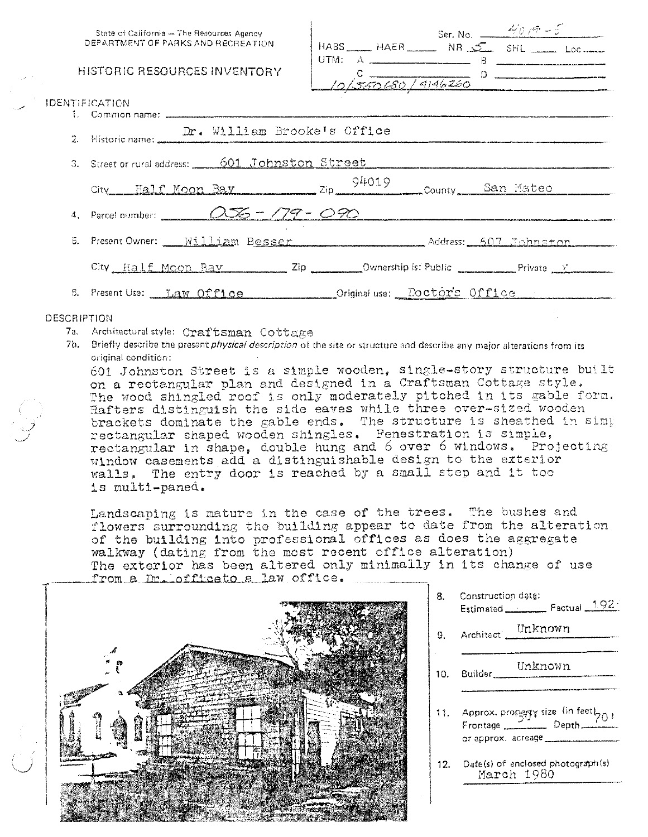| State of California - The Resources Agency                           |  |                           |
|----------------------------------------------------------------------|--|---------------------------|
| DEPARTMENT OF PARKS AND RECREATION                                   |  |                           |
| HISTORIC RESOURCES INVENTORY                                         |  | $10\sqrt{550680/9146260}$ |
| <b>IDENTIFICATION</b>                                                |  |                           |
|                                                                      |  |                           |
| 2. Historic name: Dr. William Brooke's Office                        |  |                           |
| 3. Street or rural address: 601 Johnston Street                      |  |                           |
| City Half Moon Bay 2ip 94019 County San Mateo                        |  |                           |
| 4. Parcel number: $\overline{OOS} = \overline{779} = \overline{O90}$ |  |                           |
| 5. Present Owner: William Besser Manuel Address: 607 Johnston        |  |                           |
|                                                                      |  |                           |

### DESCRIPTION

7a. Architectural style: Craftsman Cottage

6. Present Use: Tuaw Office

7b. Briefly describe the present *physical description* of the site or structure and describe any major alterations from its original condition:

601 Johnston Street is a simple wooden, single-story structure built on a rectangular plan and designed in a Craftsman Cottage style. The wood shingled roof is only moderately pitched in its gable form. Hafters distinguish the side eaves while three over-sized wooden brackets dominate the gable ends. The structure is sheathed in simp rectangular shaped wooden shingles. Fenestration is simple, rectangular in shape, double hung and 6 over 6 windows. Projecting window casements add a distinguishable design to the exterior walls. The entry door is reached by a small step and it too 1s multi-paned.

Original use: Doctors Office

Landscaping is mature in the case of the trees. The bushes and flowers surrounding the building appear to date from the alteration of the building into professional offices as does the aggregate walkway (dating from the most recent office alteration) The exterior has been altered only minimally in its change of use from a Dr. officato a law office.



| 8.  | Construction date:<br>Estimated <u>Estimated</u> Factual 1921                                   |
|-----|-------------------------------------------------------------------------------------------------|
|     | Architect Unknown                                                                               |
| 10. | Euilder Unknown                                                                                 |
| 11. | Approx. prongty size (in feet $b_{0}$ ,<br>Frontage Depth<br>or approx. acreage _______________ |

Date(s) of enclosed photograph(s)  $12.$ March 1980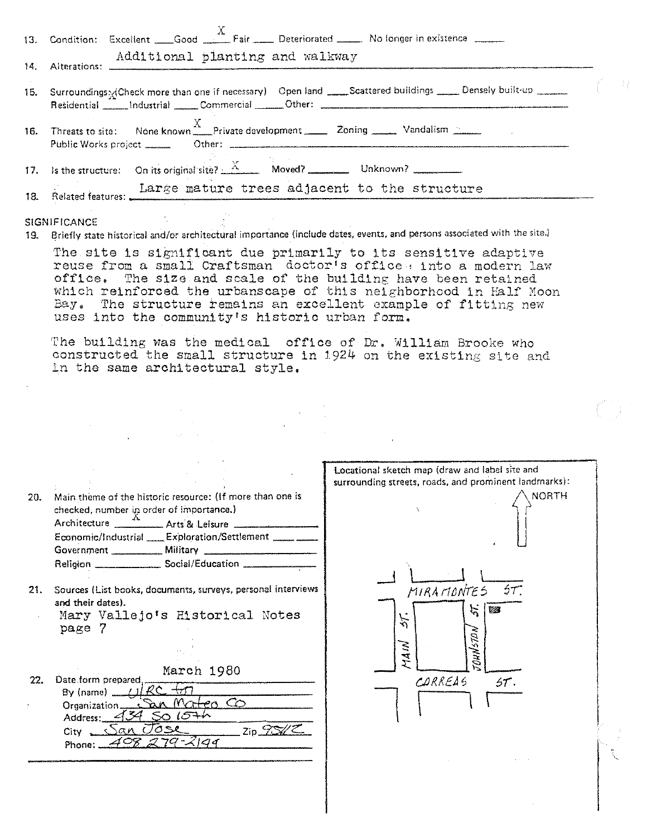|     | 13. Condition: Excellent Good X Fair Deteriorated No longer in existence                                                                                                                                                                                                                                                                                                                         |  |
|-----|--------------------------------------------------------------------------------------------------------------------------------------------------------------------------------------------------------------------------------------------------------------------------------------------------------------------------------------------------------------------------------------------------|--|
|     | Additional planting and walkway                                                                                                                                                                                                                                                                                                                                                                  |  |
| 14. | Alterations:                                                                                                                                                                                                                                                                                                                                                                                     |  |
| 15. | Surroundings x Check more than one if necessary) Open land ____Scattered buildings _____ Densely built-up ____<br>Residential Industrial Commercial Other: Commercial Commercial Communications and Communications and Dunner Communications and Dunner Communications and Dunner Communications and Dunner Communications and Dunner Communicat                                                 |  |
| 16. | Threats to site: None known $\frac{X}{X}$ Private development $\frac{X}{X}$ Zoning $\frac{X}{X}$ Vandalism $\frac{X}{X}$                                                                                                                                                                                                                                                                         |  |
|     |                                                                                                                                                                                                                                                                                                                                                                                                  |  |
| 18. | Large mature trees adjacent to the structure                                                                                                                                                                                                                                                                                                                                                     |  |
| 19. | <b>SIGNIFICANCE</b><br>Briefly state historical and/or architectural importance (include dates, events, and persons associated with the site.)                                                                                                                                                                                                                                                   |  |
|     | The site is significant due primarily to its sensitive adaptive<br>reuse from a small Craftsman doctor's office . into a modern law<br>The size and scale of the building have been retained<br>office.<br>which reinforced the urbanscape of this neighborhood in Half Moon<br>Bay. The structure remains an excellent example of fitting new<br>uses into the community's historic urban form. |  |
|     | The building was the medical office of Dr. William Brooke who<br>constructed the small structure in 1924 on the existing site and<br>in the same architectural style.                                                                                                                                                                                                                            |  |
|     |                                                                                                                                                                                                                                                                                                                                                                                                  |  |
|     |                                                                                                                                                                                                                                                                                                                                                                                                  |  |
|     |                                                                                                                                                                                                                                                                                                                                                                                                  |  |
|     | Locational sketch map (draw and label site and<br>surrounding streets, roads, and prominent landmarks):                                                                                                                                                                                                                                                                                          |  |
|     | 20. Main theme of the historic resource: (If more than one is<br>\NORTH<br>the contract of the contract of the contract of the contract of the contract of the contract of the contract of                                                                                                                                                                                                       |  |

| 20. | checked; number in order of importance.) | Main theme of the historic resource: (If more than one is |  |
|-----|------------------------------------------|-----------------------------------------------------------|--|
|     |                                          | Architecture ____________ Arts & Leisure __________       |  |
|     |                                          | Economic/Industrial ____ Exploration/Settlement _____ __  |  |
|     | Government ___________ Military          |                                                           |  |
|     | Religion                                 | Social/Education                                          |  |
|     |                                          |                                                           |  |

- 21. Sources (List books, documents, surveys, personal interviews and their dates).
	- Mary Vallejo's Historical Notes  $\ddot{\phantom{a}}$ page 7

March 1980

22. Date form prepared, By (name)  $\frac{L}{L}$ Mateo Co Organization.  $\lambda$  $1571$ Address: 4 ◇  $Zip \rightarrow \frac{Z\sqrt{Z}}{Z}$ . San Jose  $City$ <sub>2-1</sub> -408 2194 Phone: \_

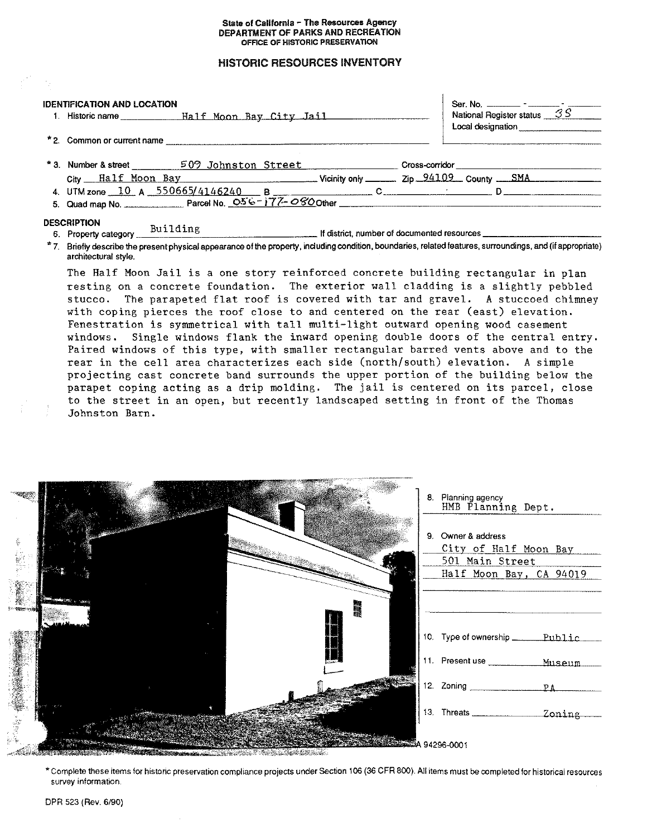#### State of California - The Resources Agency DEPARTMENT OF PARKS AND RECREATION OFFICE OF HISTORIC PRESERVATION

# **HISTORIC RESOURCES INVENTORY**

| <b>IDENTIFICATION AND LOCATION</b><br>1. Historic name ________________Half_Moon_Bay_City_Jail________ | Ser. No. $\frac{1}{\sqrt{35}}$ - $\frac{1}{\sqrt{35}}$<br>Local designation |
|--------------------------------------------------------------------------------------------------------|-----------------------------------------------------------------------------|
| *2. Common or current name                                                                             |                                                                             |
| * 3. Number & street _________ 509 Johnston Street                                                     | Cross-corridor                                                              |
| $City$ Half Moon Bay $V$ Vicinity only $Zip$ $94109$ County $SMA$                                      |                                                                             |
|                                                                                                        |                                                                             |
|                                                                                                        |                                                                             |
| <b>DESCRIPTION</b><br>Building<br>6. Property category                                                 | If district, number of documented resources _______________                 |

\* 7. Briefly describe the present physical appearance of the property, including condition, boundaries, related features, surroundings, and (if appropriate) architectural style.

The Half Moon Jail is a one story reinforced concrete building rectangular in plan resting on a concrete foundation. The exterior wall cladding is a slightly pebbled stucco. The parapeted flat roof is covered with tar and gravel. A stuccoed chimney with coping pierces the roof close to and centered on the rear (east) elevation. Fenestration is symmetrical with tall multi-light outward opening wood casement windows. Single windows flank the inward opening double doors of the central entry. Paired windows of this type, with smaller rectangular barred vents above and to the rear in the cell area characterizes each side (north/south) elevation. A simple projecting cast concrete band surrounds the upper portion of the building below the parapet coping acting as a drip molding. The jail is centered on its parcel, close to the street in an open, but recently landscaped setting in front of the Thomas Johnston Barn.

| <b>SERVER</b>                                                                                                                                                                                                                                     | 8. Planning agency<br>HMB Planning Dept.                                                  |
|---------------------------------------------------------------------------------------------------------------------------------------------------------------------------------------------------------------------------------------------------|-------------------------------------------------------------------------------------------|
| ą.                                                                                                                                                                                                                                                | 9. Owner & address<br>City of Half Moon Bay<br>501 Main Street<br>Half Moon Bay, CA 94019 |
| <b>Contract of the Contract of the Contract of the Contract of the Contract of the Contract of the Contract of the Contract of the Contract of the Contract of the Contract of the Contract of the Contract of the Contract of t</b><br>AMARA MAN | 10. Type of ownership ________ Public                                                     |
|                                                                                                                                                                                                                                                   | 11. Present use Museum<br>12. Zoning PA                                                   |
| <u> Albanya ya Tanzania ya Tanzania ya Tanzania ya Tanzania ya Tanzania ya Tanzania ya Tanzania ya Tanzania ya Ta</u><br><b>RACIONAL PROPERTY</b>                                                                                                 | <b>SERVER SERVER DA 94296-0001</b>                                                        |

\* Complete these items for historic preservation compliance projects under Section 106 (36 CFR 800). All items must be completed for historical resources survey information.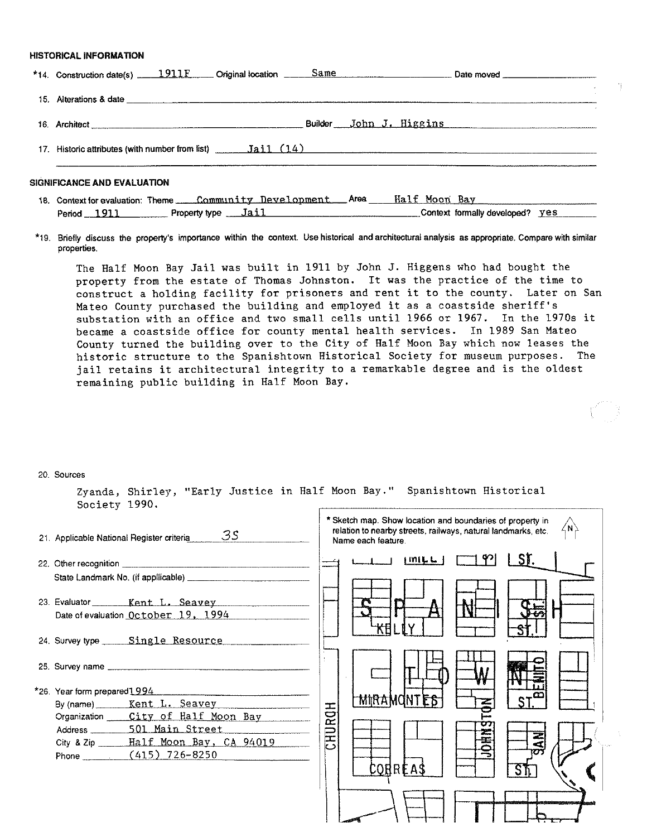### **HISTORICAL INFORMATION**

| *14. Construction date(s) 1911 F Criginal location Same Construction Date moved Construction date(s)                    |
|-------------------------------------------------------------------------------------------------------------------------|
|                                                                                                                         |
|                                                                                                                         |
|                                                                                                                         |
| <b>SIGNIFICANCE AND EVALUATION</b><br>18. Context for evaluation: Theme <i>Community Development</i> Area Half Moon Bay |

**\*19. Briefly discuss the property's importance within the context. Use historical and architectural analysis as appropriate. Compare with similar properties.** 

Period 1911 Property type Jail Character Context formally developed? yes

The Half Moon Bay Jail was built in 1911 by John J. Higgens who had bought the property from the estate of Thomas Johnston. It was the practice of the time to construct a holding facility for prisoners and rent it to the county. Later on San Mateo County purchased the building and employed it as a coastside sheriff's substation with an office and two small cells until 1966 or 1967. In the 1970s it became a coastside office for county mental health services. In 1989 San Mateo County turned the building over to the City of Half Moon Bay which now leases the historic structure to the Spanishtown Historical Society for museum purposes. The jail retains it architectural integrity to a remarkable degree and is the oldest remaining public building in Half Moon Bay.

#### 20. **Sources**

Zyanda, Shirley, "Early Justice in Half Moon Bay." Spanishtown Historical Society 1990.

| 21. Applicable National Register criteria | 35.                                                                                                                                                                                                                            |        | * Sketch map. Show location and boundaries of property in<br>relation to nearby streets, railways, natural landmarks, etc.<br>Name each feature. |                                         |      | 4N) |
|-------------------------------------------|--------------------------------------------------------------------------------------------------------------------------------------------------------------------------------------------------------------------------------|--------|--------------------------------------------------------------------------------------------------------------------------------------------------|-----------------------------------------|------|-----|
|                                           | 22. Other recognition entertainment and the contract of the contract of the contract of the contract of the contract of the contract of the contract of the contract of the contract of the contract of the contract of the co |        |                                                                                                                                                  | $\lfloor m \rfloor$ $\lfloor m \rfloor$ | LSI. |     |
|                                           | 23. Evaluator Kent L. Seavey                                                                                                                                                                                                   |        |                                                                                                                                                  |                                         |      |     |
|                                           | Date of evaluation October 19, 1994<br>24. Survey type _____ Single Resource                                                                                                                                                   |        |                                                                                                                                                  |                                         |      |     |
|                                           |                                                                                                                                                                                                                                |        |                                                                                                                                                  |                                         |      |     |
| *26. Year form prepared 1994              |                                                                                                                                                                                                                                |        |                                                                                                                                                  |                                         |      |     |
|                                           | By (name) _______ Kent L. Seavey                                                                                                                                                                                               |        | <b>MIRAMONTES</b>                                                                                                                                |                                         |      |     |
|                                           | Organization ____ City of Half Moon Bay                                                                                                                                                                                        |        |                                                                                                                                                  |                                         |      |     |
|                                           | Address 501 Main Street                                                                                                                                                                                                        |        |                                                                                                                                                  |                                         | Z    |     |
|                                           | City & Zip ______ Half Moon Bay, CA 94019                                                                                                                                                                                      | CHURCH |                                                                                                                                                  |                                         |      |     |
|                                           | Phone (415) 726-8250                                                                                                                                                                                                           |        |                                                                                                                                                  |                                         |      |     |
|                                           |                                                                                                                                                                                                                                |        | CORREAS                                                                                                                                          |                                         |      |     |
|                                           |                                                                                                                                                                                                                                |        |                                                                                                                                                  |                                         |      |     |
|                                           |                                                                                                                                                                                                                                |        |                                                                                                                                                  |                                         |      |     |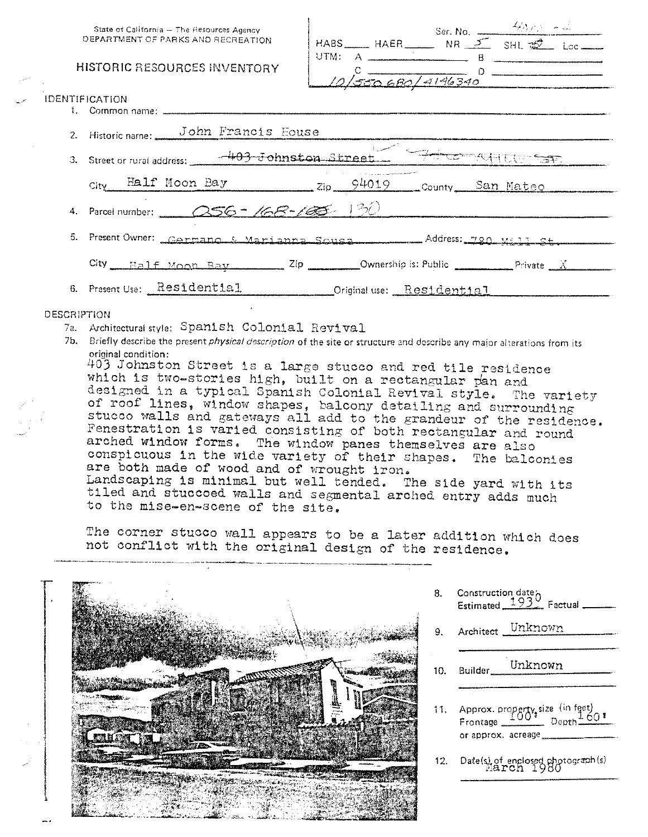| State of California - The Resources Agency |                                                                           |  |  |                                                                             |  |
|--------------------------------------------|---------------------------------------------------------------------------|--|--|-----------------------------------------------------------------------------|--|
| DEPARTMENT OF PARKS AND RECREATION         |                                                                           |  |  | HABS HAER Ser. No. $\frac{400 \times 10^{-4} \text{ A}}{100 \text{ A}}$ Loc |  |
|                                            | HISTORIC RESOURCES INVENTORY                                              |  |  | UTM: $A$<br>$\frac{0}{10\sqrt{500.680/9196340}}$                            |  |
| IDENTIFICATION                             |                                                                           |  |  |                                                                             |  |
|                                            |                                                                           |  |  |                                                                             |  |
|                                            | 2. Historic name: John Francis House                                      |  |  |                                                                             |  |
|                                            | 3. Street or rural address: 403 Johnston Street 74100 ST                  |  |  |                                                                             |  |
|                                            | City Half Moon Bay 2ip 94019 County San Mateo                             |  |  |                                                                             |  |
|                                            | 4. Parcel number: 256 - 168 - 190                                         |  |  |                                                                             |  |
|                                            | 5. Present Owner: Carmano & Marianna Sousa ________ Address: 720 Mill St. |  |  |                                                                             |  |
|                                            | City Half Moon Bay 2ip Ownership is: Public Private $X$                   |  |  |                                                                             |  |
|                                            | 6. Present Use: Residential Criginal use: Residential                     |  |  |                                                                             |  |
|                                            |                                                                           |  |  |                                                                             |  |

 $\mathbf{I}$ 

## **DESCRIPTION**

- 7a. Architectural style: Spanish Colonial Revival
- 7b. Briefly describe the present *physical description* of the site or structure and describe any major alterations from its original condition:

403 Johnston Street is a large stucco and red tile residence which is two-stories high, built on a rectangular pan and designed in a typical Spanish Colonial Revival style. The variety of roof lines, window shapes, balcony detailing and surrounding stucco walls and gateways all add to the grandeur of the residence. Fenestration is varied consisting of both rectangular and round arched window forms. The window panes themselves are also conspicuous in the wide variety of their shapes. The balconies are both made of wood and of wrought iron. Landscaping is minimal but well tended. The side yard with its tiled and stuccoed walls and segmental arched entry adds much to the mise-en-scene of the site.

The corner stucco wall appears to be a later addition which does not conflict with the original design of the residence.



Construction date<sub>o</sub><br>Estimated 1932 Factual 8.

- Unknown Architect 9.
- Unknown  $10.$ Builder
- 11. Approx. property size (in feet)  $.601$ \_ Dopth. Frontage \_ or approx, acreage
- 12. Date(s) of enclosed photograph(s)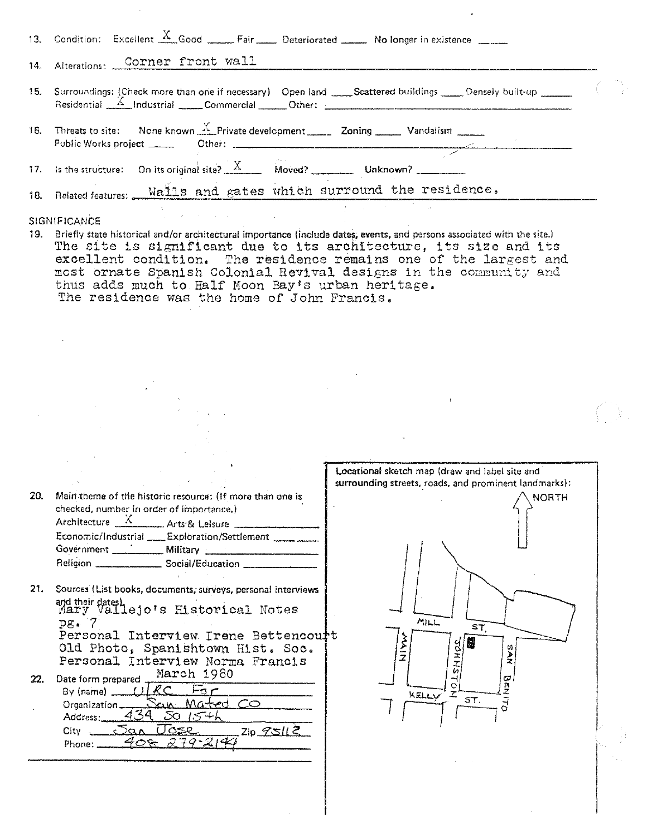| 13. Condition: Excellent $\frac{X}{X}$ Good _____ Fair ____ Deteriorated _____ No longer in existence _____                                    |
|------------------------------------------------------------------------------------------------------------------------------------------------|
| 14. Alterations: Corner front wall                                                                                                             |
| 15. Surroundings: (Check more than one if necessary) Open land Scattered buildings Censely built-up $\frac{X}{1}$ Industrial Commercial Other: |
| 16. Threats to site: None known $\frac{X}{X}$ Private development 20ning 20ning Vandalism                                                      |
| 17. Is the structure: On its original site? $\frac{X}{X}$ Moved? Unknown?                                                                      |
| 18. Related features: Walls and gates which surround the residence.                                                                            |

- **SIGNIFICANCE**
- 19. Briefly state historical and/or architectural importance (include dates, events, and persons associated with the site.) The site is significant due to its architecture, its size and its excellent condition. The residence remains one of the largest and most ornate Spanish Colonial Revival designs in the community and thus adds much to Half Moon Bay's urban heritage. The residence was the home of John Francis.

| -20. | Main theme of the historic resource: (If more than one is<br>checked, number in order of importance.) |                                                      |  |
|------|-------------------------------------------------------------------------------------------------------|------------------------------------------------------|--|
|      | Architecture X Arts & Leisure                                                                         |                                                      |  |
|      |                                                                                                       | Economic/Industrial ____ Exploration/Settlement ____ |  |
|      | Government ____________ Military ___                                                                  |                                                      |  |
|      |                                                                                                       | Religion __________________ Social/Education ____    |  |

21. Sources (List books, documents, surveys, personal interviews and their dates)<br>mary Vallejo's Historical Notes<br>pg. 7 Personal Interview Irene Bettencourt Old Photo, Spanishtown Hist. Soc. Personal Interview Norma Francis March 1980 22. Date form prepared

 $R \subset$  $F_5r$ <u>Mated CO</u> Organization\_ ้าเก  $4^{7}$ <u>SO 15</u>+h Address: *Tose*  $\mathsf{Zip}\ \mathscr{L} \mathsf{S}\mathcal{U}$  $City$   $\Box$ San  $40x$ Phone:  $79 - 214$ 

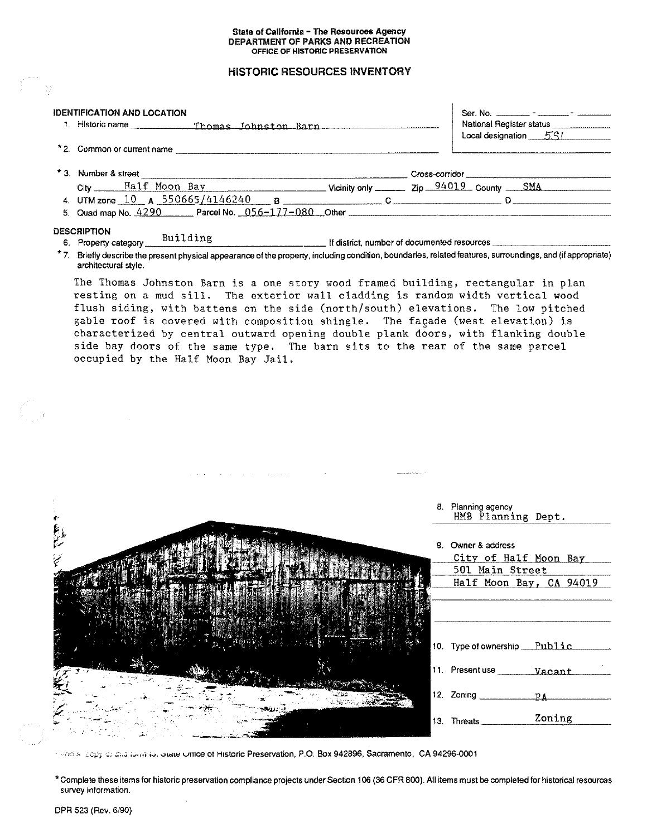### State of California - The Resources Agency DEPARTMENT OF PARKS AND RECREATION OFFICE OF HISTORIC PRESERVATION

# **HISTORIC RESOURCES INVENTORY**

| <b>IDENTIFICATION AND LOCATION</b>                                                                                                                                                  | Ser. No. __________ - _______ - _________ |
|-------------------------------------------------------------------------------------------------------------------------------------------------------------------------------------|-------------------------------------------|
| 1. Historic name _____________Thomas Johnston Barn _____________________________                                                                                                    | National Register status                  |
|                                                                                                                                                                                     | $Local designation = 5S1$                 |
| *2. Common or current name                                                                                                                                                          |                                           |
|                                                                                                                                                                                     |                                           |
| City Half Moon Bay Vicinity only 2ip 94019 County SMA                                                                                                                               |                                           |
| 4. UTM zone $10$ A $550665/4146240$ B $\sim$ C                                                                                                                                      |                                           |
|                                                                                                                                                                                     |                                           |
| <b>DESCRIPTION</b>                                                                                                                                                                  |                                           |
| 6. Property category <u>Building</u><br>6. Property category <u>Building</u>                                                                                                        |                                           |
| *7. Briefly describe the present physical appearance of the property, including condition, boundaries, related features, surroundings, and (if appropriate)<br>architectural style. |                                           |
| The Thomas Johnston Barn is a one story wood framed building, rectangular in plan<br>resting on a mud sill. The exterior wall cladding is random width vertical wood                |                                           |

flush siding, with battens on the side (north/south) elevations. The low pitched gable roof is covered with composition shingle. The façade (west elevation) is characterized by central outward opening double plank doors, with flanking double side bay doors of the same type. The barn sits to the rear of the same parcel occupied by the Half Moon Bay Jail.

|                 | 8. Planning agency<br>HMB Planning Dept.    |
|-----------------|---------------------------------------------|
| انتظار<br>مناطق | 9. Owner & address<br>City of Half Moon Bay |
| سنجأ            | 501 Main Street<br>Half Moon Bay, CA 94019  |
|                 |                                             |
|                 | 10. Type of ownership Public                |
|                 |                                             |
|                 | 12. Zoning ____________<br>PA               |
|                 | Zoning<br>13. Threats __                    |

election copy of this form to, orate Office of Historic Preservation, P.O. Box 942896, Sacramento, CA 94296-0001

\* Complete these items for historic preservation compliance projects under Section 106 (36 CFR 800). All items must be completed for historical resources survey information.

 $\mathcal{L}_{\mathbb{R}^2}^{\mathbb{R}^2}$